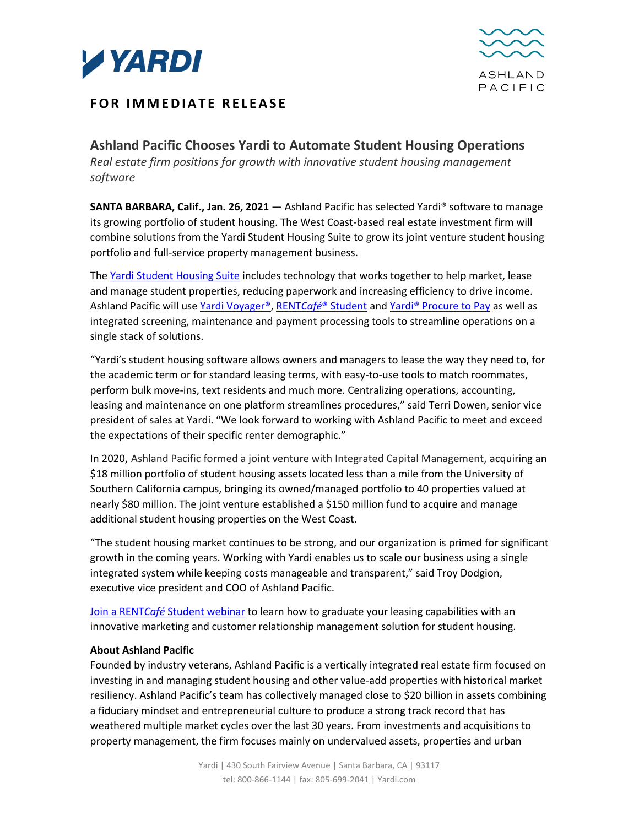



## **FOR IMMEDIATE RELEASE**

**Ashland Pacific Chooses Yardi to Automate Student Housing Operations** *Real estate firm positions for growth with innovative student housing management software*

**SANTA BARBARA, Calif., Jan. 26, 2021** — Ashland Pacific has selected Yardi® software to manage its growing portfolio of student housing. The West Coast-based real estate investment firm will combine solutions from the Yardi Student Housing Suite to grow its joint venture student housing portfolio and full-service property management business.

Th[e Yardi Student Housing Suite](https://www.yardi.com/products/student-housing-suite/) includes technology that works together to help market, lease and manage student properties, reducing paperwork and increasing efficiency to drive income. Ashland Pacific will use [Yardi Voyager®,](https://www.yardi.com/products/voyager-student-housing/) RENT*Café*[® Student](https://resources.yardi.com/documents/rentcafe-student-brochure/) an[d Yardi® Procure to Pay](https://www.yardi.com/products/yardi-procure-to-pay/) as well as integrated screening, maintenance and payment processing tools to streamline operations on a single stack of solutions.

"Yardi's student housing software allows owners and managers to lease the way they need to, for the academic term or for standard leasing terms, with easy-to-use tools to match roommates, perform bulk move-ins, text residents and much more. Centralizing operations, accounting, leasing and maintenance on one platform streamlines procedures," said Terri Dowen, senior vice president of sales at Yardi. "We look forward to working with Ashland Pacific to meet and exceed the expectations of their specific renter demographic."

In 2020, Ashland Pacific formed a joint venture with Integrated Capital Management, acquiring an \$18 million portfolio of student housing assets located less than a mile from the University of Southern California campus, bringing its owned/managed portfolio to 40 properties valued at nearly \$80 million. The joint venture established a \$150 million fund to acquire and manage additional student housing properties on the West Coast.

"The student housing market continues to be strong, and our organization is primed for significant growth in the coming years. Working with Yardi enables us to scale our business using a single integrated system while keeping costs manageable and transparent," said Troy Dodgion, executive vice president and COO of Ashland Pacific.

Join a RENT*Café* [Student webinar](https://www.yardi.com/events/webinars/?rentcafestudent) to learn how to graduate your leasing capabilities with an innovative marketing and customer relationship management solution for student housing.

## **About Ashland Pacific**

Founded by industry veterans, Ashland Pacific is a vertically integrated real estate firm focused on investing in and managing student housing and other value-add properties with historical market resiliency. Ashland Pacific's team has collectively managed close to \$20 billion in assets combining a fiduciary mindset and entrepreneurial culture to produce a strong track record that has weathered multiple market cycles over the last 30 years. From investments and acquisitions to property management, the firm focuses mainly on undervalued assets, properties and urban